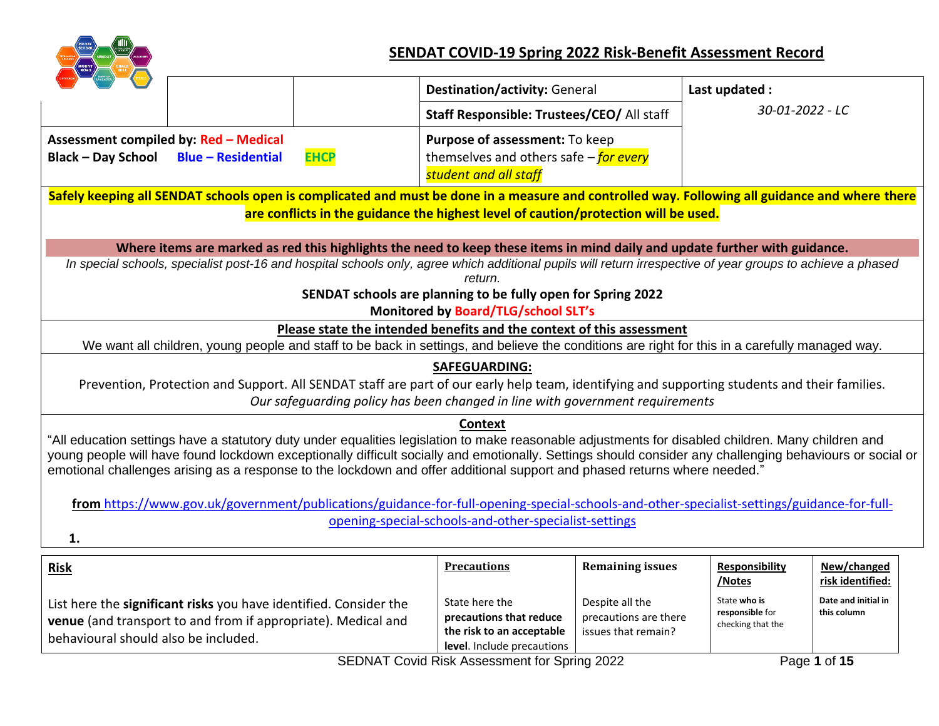

## **SENDAT COVID-19 Spring 2022 Risk-Benefit Assessment Record**

|                                                                                                                                                |                                                                   |             | <b>Destination/activity: General</b>                                                                                                                                                                                                                                                                           |                         | Last updated :                       |                     |  |  |  |  |
|------------------------------------------------------------------------------------------------------------------------------------------------|-------------------------------------------------------------------|-------------|----------------------------------------------------------------------------------------------------------------------------------------------------------------------------------------------------------------------------------------------------------------------------------------------------------------|-------------------------|--------------------------------------|---------------------|--|--|--|--|
|                                                                                                                                                |                                                                   |             | Staff Responsible: Trustees/CEO/ All staff                                                                                                                                                                                                                                                                     |                         | 30-01-2022 - LC                      |                     |  |  |  |  |
|                                                                                                                                                | Assessment compiled by: Red - Medical                             |             | Purpose of assessment: To keep                                                                                                                                                                                                                                                                                 |                         |                                      |                     |  |  |  |  |
| <b>Black - Day School</b>                                                                                                                      | <b>Blue - Residential</b>                                         | <b>EHCP</b> | themselves and others safe $-\frac{f}{\rho r}$ every                                                                                                                                                                                                                                                           |                         |                                      |                     |  |  |  |  |
|                                                                                                                                                |                                                                   |             | student and all staff                                                                                                                                                                                                                                                                                          |                         |                                      |                     |  |  |  |  |
| Safely keeping all SENDAT schools open is complicated and must be done in a measure and controlled way. Following all guidance and where there |                                                                   |             |                                                                                                                                                                                                                                                                                                                |                         |                                      |                     |  |  |  |  |
|                                                                                                                                                |                                                                   |             | are conflicts in the guidance the highest level of caution/protection will be used.                                                                                                                                                                                                                            |                         |                                      |                     |  |  |  |  |
|                                                                                                                                                |                                                                   |             |                                                                                                                                                                                                                                                                                                                |                         |                                      |                     |  |  |  |  |
|                                                                                                                                                |                                                                   |             | Where items are marked as red this highlights the need to keep these items in mind daily and update further with guidance.<br>In special schools, specialist post-16 and hospital schools only, agree which additional pupils will return irrespective of year groups to achieve a phased                      |                         |                                      |                     |  |  |  |  |
|                                                                                                                                                |                                                                   |             | return.                                                                                                                                                                                                                                                                                                        |                         |                                      |                     |  |  |  |  |
|                                                                                                                                                |                                                                   |             | SENDAT schools are planning to be fully open for Spring 2022                                                                                                                                                                                                                                                   |                         |                                      |                     |  |  |  |  |
|                                                                                                                                                |                                                                   |             | Monitored by Board/TLG/school SLT's                                                                                                                                                                                                                                                                            |                         |                                      |                     |  |  |  |  |
|                                                                                                                                                |                                                                   |             | Please state the intended benefits and the context of this assessment                                                                                                                                                                                                                                          |                         |                                      |                     |  |  |  |  |
|                                                                                                                                                |                                                                   |             | We want all children, young people and staff to be back in settings, and believe the conditions are right for this in a carefully managed way.                                                                                                                                                                 |                         |                                      |                     |  |  |  |  |
|                                                                                                                                                |                                                                   |             | <b>SAFEGUARDING:</b>                                                                                                                                                                                                                                                                                           |                         |                                      |                     |  |  |  |  |
|                                                                                                                                                |                                                                   |             | Prevention, Protection and Support. All SENDAT staff are part of our early help team, identifying and supporting students and their families.                                                                                                                                                                  |                         |                                      |                     |  |  |  |  |
|                                                                                                                                                |                                                                   |             | Our safequarding policy has been changed in line with government requirements                                                                                                                                                                                                                                  |                         |                                      |                     |  |  |  |  |
|                                                                                                                                                |                                                                   |             | <b>Context</b>                                                                                                                                                                                                                                                                                                 |                         |                                      |                     |  |  |  |  |
|                                                                                                                                                |                                                                   |             | "All education settings have a statutory duty under equalities legislation to make reasonable adjustments for disabled children. Many children and<br>young people will have found lockdown exceptionally difficult socially and emotionally. Settings should consider any challenging behaviours or social or |                         |                                      |                     |  |  |  |  |
|                                                                                                                                                |                                                                   |             | emotional challenges arising as a response to the lockdown and offer additional support and phased returns where needed."                                                                                                                                                                                      |                         |                                      |                     |  |  |  |  |
|                                                                                                                                                |                                                                   |             |                                                                                                                                                                                                                                                                                                                |                         |                                      |                     |  |  |  |  |
|                                                                                                                                                |                                                                   |             | from https://www.gov.uk/government/publications/guidance-for-full-opening-special-schools-and-other-specialist-settings/guidance-for-full-                                                                                                                                                                     |                         |                                      |                     |  |  |  |  |
|                                                                                                                                                | opening-special-schools-and-other-specialist-settings             |             |                                                                                                                                                                                                                                                                                                                |                         |                                      |                     |  |  |  |  |
| 1.                                                                                                                                             |                                                                   |             |                                                                                                                                                                                                                                                                                                                |                         |                                      |                     |  |  |  |  |
| <b>Risk</b>                                                                                                                                    |                                                                   |             | <b>Precautions</b>                                                                                                                                                                                                                                                                                             | <b>Remaining issues</b> | <b>Responsibility</b>                | New/changed         |  |  |  |  |
|                                                                                                                                                |                                                                   |             |                                                                                                                                                                                                                                                                                                                |                         | /Notes                               | risk identified:    |  |  |  |  |
|                                                                                                                                                | List here the significant risks you have identified. Consider the |             | State here the                                                                                                                                                                                                                                                                                                 | Despite all the         | State who is                         | Date and initial in |  |  |  |  |
|                                                                                                                                                | venue (and transport to and from if appropriate). Medical and     |             | precautions that reduce                                                                                                                                                                                                                                                                                        | precautions are there   | responsible for<br>checking that the | this column         |  |  |  |  |
| behavioural should also be included.                                                                                                           |                                                                   |             | the risk to an acceptable                                                                                                                                                                                                                                                                                      | issues that remain?     |                                      |                     |  |  |  |  |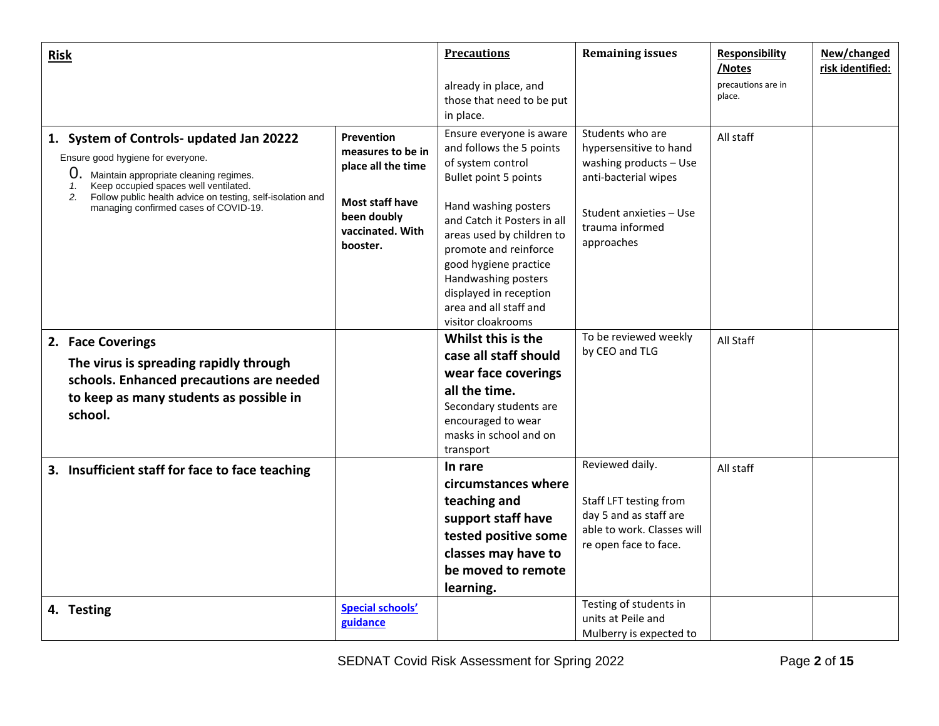| <b>Risk</b>                                                                                                                                                                                                                                                                                           |                                                                                                                                       | <b>Precautions</b>                                                                                                                                                                                                                                                                                                                        | <b>Remaining issues</b>                                                                                                                                  | <b>Responsibility</b><br>/Notes | New/changed<br>risk identified: |
|-------------------------------------------------------------------------------------------------------------------------------------------------------------------------------------------------------------------------------------------------------------------------------------------------------|---------------------------------------------------------------------------------------------------------------------------------------|-------------------------------------------------------------------------------------------------------------------------------------------------------------------------------------------------------------------------------------------------------------------------------------------------------------------------------------------|----------------------------------------------------------------------------------------------------------------------------------------------------------|---------------------------------|---------------------------------|
|                                                                                                                                                                                                                                                                                                       |                                                                                                                                       | already in place, and<br>those that need to be put<br>in place.                                                                                                                                                                                                                                                                           |                                                                                                                                                          | precautions are in<br>place.    |                                 |
| 1. System of Controls- updated Jan 20222<br>Ensure good hygiene for everyone.<br>$\mathbf{0}$ .<br>Maintain appropriate cleaning regimes.<br>Keep occupied spaces well ventilated.<br>1.<br>Follow public health advice on testing, self-isolation and<br>2.<br>managing confirmed cases of COVID-19. | <b>Prevention</b><br>measures to be in<br>place all the time<br><b>Most staff have</b><br>been doubly<br>vaccinated. With<br>booster. | Ensure everyone is aware<br>and follows the 5 points<br>of system control<br>Bullet point 5 points<br>Hand washing posters<br>and Catch it Posters in all<br>areas used by children to<br>promote and reinforce<br>good hygiene practice<br>Handwashing posters<br>displayed in reception<br>area and all staff and<br>visitor cloakrooms | Students who are<br>hypersensitive to hand<br>washing products - Use<br>anti-bacterial wipes<br>Student anxieties - Use<br>trauma informed<br>approaches | All staff                       |                                 |
| 2. Face Coverings<br>The virus is spreading rapidly through<br>schools. Enhanced precautions are needed<br>to keep as many students as possible in<br>school.                                                                                                                                         |                                                                                                                                       | Whilst this is the<br>case all staff should<br>wear face coverings<br>all the time.<br>Secondary students are<br>encouraged to wear<br>masks in school and on<br>transport                                                                                                                                                                | To be reviewed weekly<br>by CEO and TLG                                                                                                                  | All Staff                       |                                 |
| 3. Insufficient staff for face to face teaching                                                                                                                                                                                                                                                       |                                                                                                                                       | In rare<br>circumstances where<br>teaching and<br>support staff have<br>tested positive some<br>classes may have to<br>be moved to remote<br>learning.                                                                                                                                                                                    | Reviewed daily.<br>Staff LFT testing from<br>day 5 and as staff are<br>able to work. Classes will<br>re open face to face.                               | All staff                       |                                 |
| 4. Testing                                                                                                                                                                                                                                                                                            | <b>Special schools'</b><br>guidance                                                                                                   |                                                                                                                                                                                                                                                                                                                                           | Testing of students in<br>units at Peile and<br>Mulberry is expected to                                                                                  |                                 |                                 |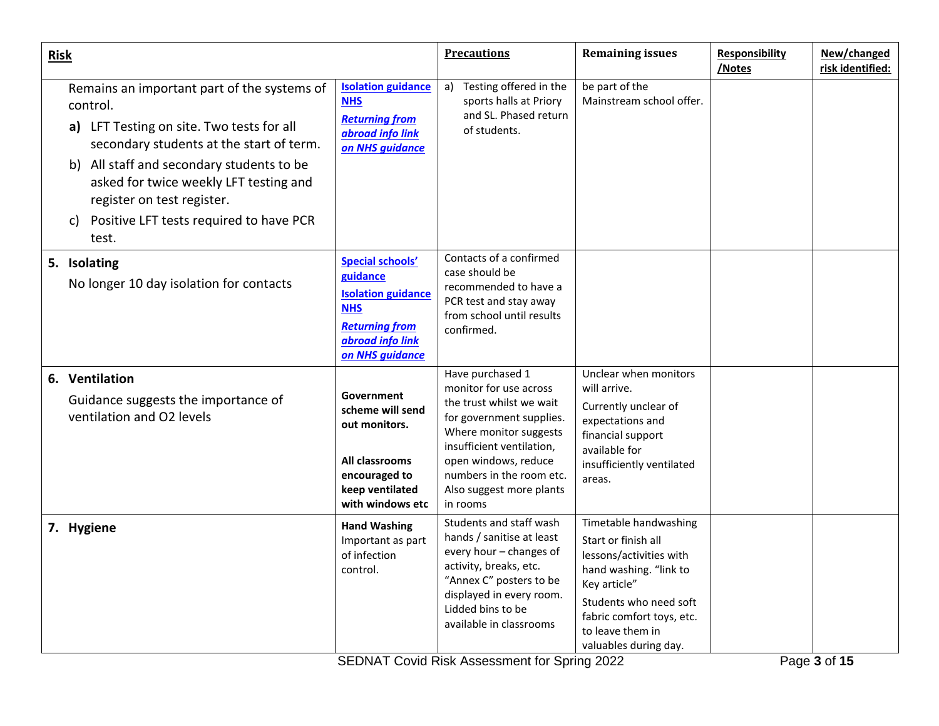| <b>Risk</b> |                                                                                                                                                                                                                                                                                                                                 |                                                                                                                                                | <b>Precautions</b>                                                                                                                                                                                                                                    | <b>Remaining issues</b>                                                                                                                                                                                               | <b>Responsibility</b><br>/Notes | New/changed<br>risk identified: |
|-------------|---------------------------------------------------------------------------------------------------------------------------------------------------------------------------------------------------------------------------------------------------------------------------------------------------------------------------------|------------------------------------------------------------------------------------------------------------------------------------------------|-------------------------------------------------------------------------------------------------------------------------------------------------------------------------------------------------------------------------------------------------------|-----------------------------------------------------------------------------------------------------------------------------------------------------------------------------------------------------------------------|---------------------------------|---------------------------------|
|             | Remains an important part of the systems of<br>control.<br>a) LFT Testing on site. Two tests for all<br>secondary students at the start of term.<br>b) All staff and secondary students to be<br>asked for twice weekly LFT testing and<br>register on test register.<br>Positive LFT tests required to have PCR<br>c)<br>test. | <b>Isolation guidance</b><br><b>NHS</b><br><b>Returning from</b><br>abroad info link<br>on NHS quidance                                        | Testing offered in the<br>a)<br>sports halls at Priory<br>and SL. Phased return<br>of students.                                                                                                                                                       | be part of the<br>Mainstream school offer.                                                                                                                                                                            |                                 |                                 |
|             | 5. Isolating<br>No longer 10 day isolation for contacts                                                                                                                                                                                                                                                                         | <b>Special schools'</b><br>guidance<br><b>Isolation guidance</b><br><b>NHS</b><br><b>Returning from</b><br>abroad info link<br>on NHS guidance | Contacts of a confirmed<br>case should be<br>recommended to have a<br>PCR test and stay away<br>from school until results<br>confirmed.                                                                                                               |                                                                                                                                                                                                                       |                                 |                                 |
|             | 6. Ventilation<br>Guidance suggests the importance of<br>ventilation and O2 levels                                                                                                                                                                                                                                              | Government<br>scheme will send<br>out monitors.<br>All classrooms<br>encouraged to<br>keep ventilated<br>with windows etc                      | Have purchased 1<br>monitor for use across<br>the trust whilst we wait<br>for government supplies.<br>Where monitor suggests<br>insufficient ventilation,<br>open windows, reduce<br>numbers in the room etc.<br>Also suggest more plants<br>in rooms | Unclear when monitors<br>will arrive.<br>Currently unclear of<br>expectations and<br>financial support<br>available for<br>insufficiently ventilated<br>areas.                                                        |                                 |                                 |
|             | 7. Hygiene                                                                                                                                                                                                                                                                                                                      | <b>Hand Washing</b><br>Important as part<br>of infection<br>control.                                                                           | Students and staff wash<br>hands / sanitise at least<br>every hour - changes of<br>activity, breaks, etc.<br>"Annex C" posters to be<br>displayed in every room.<br>Lidded bins to be<br>available in classrooms                                      | Timetable handwashing<br>Start or finish all<br>lessons/activities with<br>hand washing. "link to<br>Key article"<br>Students who need soft<br>fabric comfort toys, etc.<br>to leave them in<br>valuables during day. |                                 |                                 |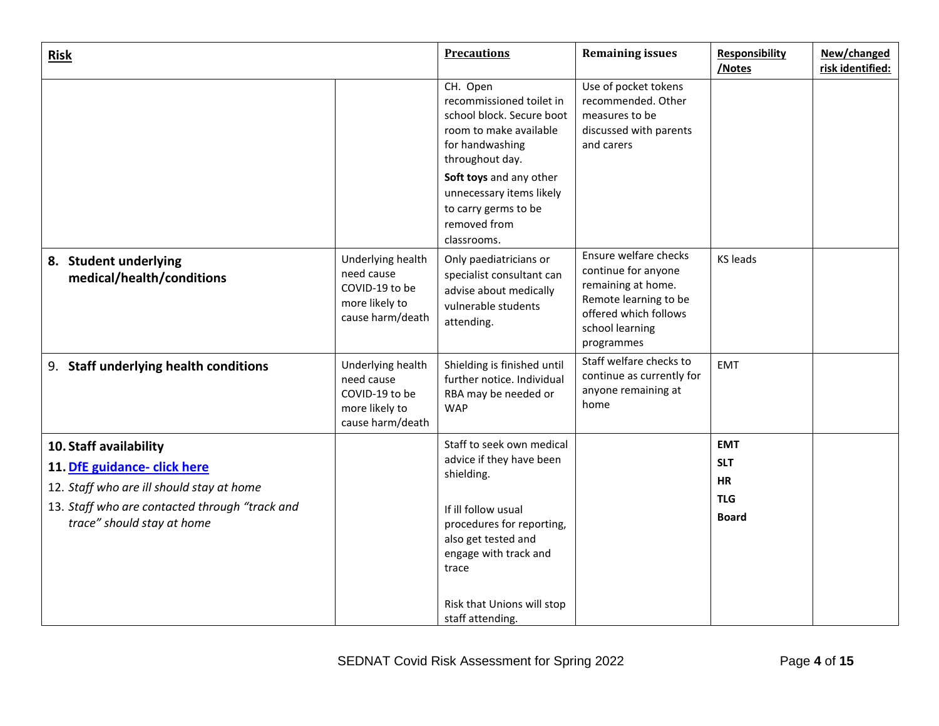| <b>Risk</b>                                                                                                                                                                         |                                                                                         | <b>Precautions</b>                                                                                                                                                                                                                              | <b>Remaining issues</b>                                                                                                                               | <b>Responsibility</b><br>/Notes                                     | New/changed<br>risk identified: |
|-------------------------------------------------------------------------------------------------------------------------------------------------------------------------------------|-----------------------------------------------------------------------------------------|-------------------------------------------------------------------------------------------------------------------------------------------------------------------------------------------------------------------------------------------------|-------------------------------------------------------------------------------------------------------------------------------------------------------|---------------------------------------------------------------------|---------------------------------|
|                                                                                                                                                                                     |                                                                                         | CH. Open<br>recommissioned toilet in<br>school block. Secure boot<br>room to make available<br>for handwashing<br>throughout day.<br>Soft toys and any other<br>unnecessary items likely<br>to carry germs to be<br>removed from<br>classrooms. | Use of pocket tokens<br>recommended. Other<br>measures to be<br>discussed with parents<br>and carers                                                  |                                                                     |                                 |
| 8. Student underlying<br>medical/health/conditions                                                                                                                                  | Underlying health<br>need cause<br>COVID-19 to be<br>more likely to<br>cause harm/death | Only paediatricians or<br>specialist consultant can<br>advise about medically<br>vulnerable students<br>attending.                                                                                                                              | Ensure welfare checks<br>continue for anyone<br>remaining at home.<br>Remote learning to be<br>offered which follows<br>school learning<br>programmes | <b>KS leads</b>                                                     |                                 |
| 9. Staff underlying health conditions                                                                                                                                               | Underlying health<br>need cause<br>COVID-19 to be<br>more likely to<br>cause harm/death | Shielding is finished until<br>further notice. Individual<br>RBA may be needed or<br><b>WAP</b>                                                                                                                                                 | Staff welfare checks to<br>continue as currently for<br>anyone remaining at<br>home                                                                   | <b>EMT</b>                                                          |                                 |
| 10. Staff availability<br>11. DfE guidance- click here<br>12. Staff who are ill should stay at home<br>13. Staff who are contacted through "track and<br>trace" should stay at home |                                                                                         | Staff to seek own medical<br>advice if they have been<br>shielding.<br>If ill follow usual<br>procedures for reporting,<br>also get tested and<br>engage with track and<br>trace<br>Risk that Unions will stop<br>staff attending.              |                                                                                                                                                       | <b>EMT</b><br><b>SLT</b><br><b>HR</b><br><b>TLG</b><br><b>Board</b> |                                 |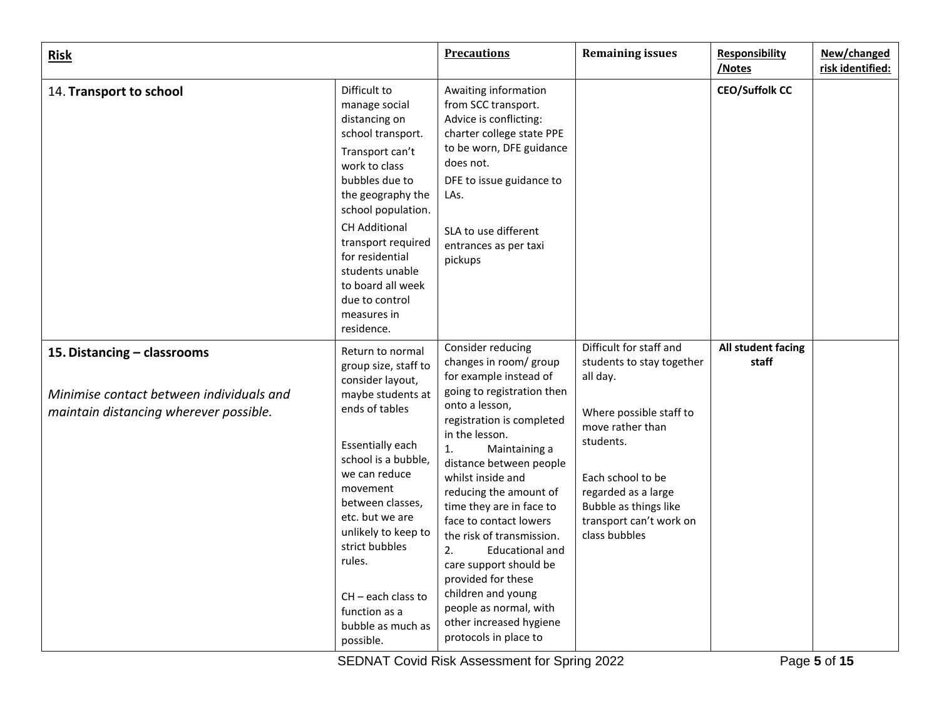| <b>Risk</b>                                                                                                       |                                                                                                                                                                                                                                                                                                                                                         | <b>Precautions</b>                                                                                                                                                                                                                                                                                                                                                                                                                                                                                                                           | <b>Remaining issues</b>                                                                                                                                                                                                                       | <b>Responsibility</b><br>/Notes | New/changed<br>risk identified: |
|-------------------------------------------------------------------------------------------------------------------|---------------------------------------------------------------------------------------------------------------------------------------------------------------------------------------------------------------------------------------------------------------------------------------------------------------------------------------------------------|----------------------------------------------------------------------------------------------------------------------------------------------------------------------------------------------------------------------------------------------------------------------------------------------------------------------------------------------------------------------------------------------------------------------------------------------------------------------------------------------------------------------------------------------|-----------------------------------------------------------------------------------------------------------------------------------------------------------------------------------------------------------------------------------------------|---------------------------------|---------------------------------|
| 14. Transport to school                                                                                           | Difficult to<br>manage social<br>distancing on<br>school transport.<br>Transport can't<br>work to class<br>bubbles due to<br>the geography the<br>school population.<br><b>CH Additional</b><br>transport required<br>for residential<br>students unable<br>to board all week<br>due to control<br>measures in<br>residence.                            | Awaiting information<br>from SCC transport.<br>Advice is conflicting:<br>charter college state PPE<br>to be worn, DFE guidance<br>does not.<br>DFE to issue guidance to<br>LAs.<br>SLA to use different<br>entrances as per taxi<br>pickups                                                                                                                                                                                                                                                                                                  |                                                                                                                                                                                                                                               | <b>CEO/Suffolk CC</b>           |                                 |
| 15. Distancing - classrooms<br>Minimise contact between individuals and<br>maintain distancing wherever possible. | Return to normal<br>group size, staff to<br>consider layout,<br>maybe students at<br>ends of tables<br><b>Essentially each</b><br>school is a bubble,<br>we can reduce<br>movement<br>between classes.<br>etc. but we are<br>unlikely to keep to<br>strict bubbles<br>rules.<br>$CH - each class to$<br>function as a<br>bubble as much as<br>possible. | Consider reducing<br>changes in room/ group<br>for example instead of<br>going to registration then<br>onto a lesson,<br>registration is completed<br>in the lesson.<br>1.<br>Maintaining a<br>distance between people<br>whilst inside and<br>reducing the amount of<br>time they are in face to<br>face to contact lowers<br>the risk of transmission.<br>2.<br><b>Educational and</b><br>care support should be<br>provided for these<br>children and young<br>people as normal, with<br>other increased hygiene<br>protocols in place to | Difficult for staff and<br>students to stay together<br>all day.<br>Where possible staff to<br>move rather than<br>students.<br>Each school to be<br>regarded as a large<br>Bubble as things like<br>transport can't work on<br>class bubbles | All student facing<br>staff     |                                 |

SEDNAT Covid Risk Assessment for Spring 2022 Page **5** of **15**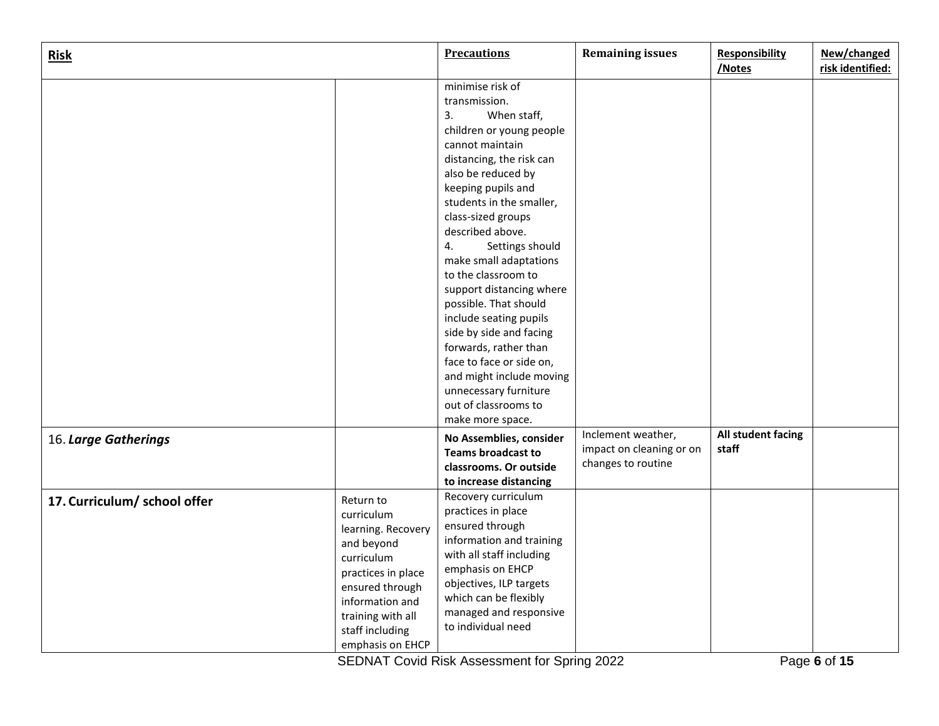| <b>Risk</b>                  |                                                                                                                                                                                                   | <b>Precautions</b>                                                                                                                                                                                                                           | <b>Remaining issues</b>                                              | <b>Responsibility</b><br>/Notes | New/changed<br>risk identified: |
|------------------------------|---------------------------------------------------------------------------------------------------------------------------------------------------------------------------------------------------|----------------------------------------------------------------------------------------------------------------------------------------------------------------------------------------------------------------------------------------------|----------------------------------------------------------------------|---------------------------------|---------------------------------|
|                              |                                                                                                                                                                                                   | minimise risk of<br>transmission.<br>3.<br>When staff,                                                                                                                                                                                       |                                                                      |                                 |                                 |
|                              |                                                                                                                                                                                                   | children or young people<br>cannot maintain<br>distancing, the risk can<br>also be reduced by                                                                                                                                                |                                                                      |                                 |                                 |
|                              |                                                                                                                                                                                                   | keeping pupils and<br>students in the smaller,<br>class-sized groups<br>described above.                                                                                                                                                     |                                                                      |                                 |                                 |
|                              |                                                                                                                                                                                                   | 4.<br>Settings should<br>make small adaptations<br>to the classroom to                                                                                                                                                                       |                                                                      |                                 |                                 |
|                              |                                                                                                                                                                                                   | support distancing where<br>possible. That should<br>include seating pupils                                                                                                                                                                  |                                                                      |                                 |                                 |
|                              |                                                                                                                                                                                                   | side by side and facing<br>forwards, rather than<br>face to face or side on,<br>and might include moving                                                                                                                                     |                                                                      |                                 |                                 |
|                              |                                                                                                                                                                                                   | unnecessary furniture<br>out of classrooms to<br>make more space.                                                                                                                                                                            |                                                                      |                                 |                                 |
| 16. Large Gatherings         |                                                                                                                                                                                                   | No Assemblies, consider<br><b>Teams broadcast to</b><br>classrooms. Or outside<br>to increase distancing                                                                                                                                     | Inclement weather,<br>impact on cleaning or on<br>changes to routine | All student facing<br>staff     |                                 |
| 17. Curriculum/ school offer | Return to<br>curriculum<br>learning. Recovery<br>and beyond<br>curriculum<br>practices in place<br>ensured through<br>information and<br>training with all<br>staff including<br>emphasis on EHCP | Recovery curriculum<br>practices in place<br>ensured through<br>information and training<br>with all staff including<br>emphasis on EHCP<br>objectives, ILP targets<br>which can be flexibly<br>managed and responsive<br>to individual need |                                                                      |                                 |                                 |

SEDNAT Covid Risk Assessment for Spring 2022 Page **6** of **15**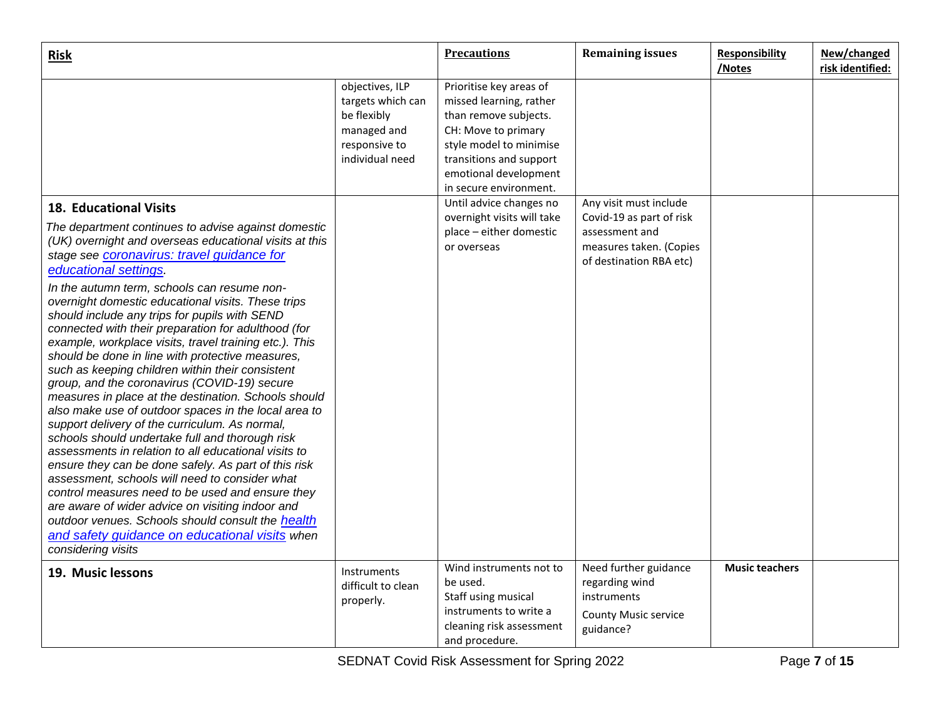| <b>Risk</b>                                                                                                                                                                                                                                                                                                                                                                                                                                                                                                                                                                                     |                                                                                                        | <b>Precautions</b>                                                                                                                                                                                                                     | <b>Remaining issues</b>                                                                            | <b>Responsibility</b><br>/Notes | New/changed<br>risk identified: |
|-------------------------------------------------------------------------------------------------------------------------------------------------------------------------------------------------------------------------------------------------------------------------------------------------------------------------------------------------------------------------------------------------------------------------------------------------------------------------------------------------------------------------------------------------------------------------------------------------|--------------------------------------------------------------------------------------------------------|----------------------------------------------------------------------------------------------------------------------------------------------------------------------------------------------------------------------------------------|----------------------------------------------------------------------------------------------------|---------------------------------|---------------------------------|
|                                                                                                                                                                                                                                                                                                                                                                                                                                                                                                                                                                                                 | objectives, ILP<br>targets which can<br>be flexibly<br>managed and<br>responsive to<br>individual need | Prioritise key areas of<br>missed learning, rather<br>than remove subjects.<br>CH: Move to primary<br>style model to minimise<br>transitions and support<br>emotional development<br>in secure environment.<br>Until advice changes no | Any visit must include                                                                             |                                 |                                 |
| <b>18. Educational Visits</b><br>The department continues to advise against domestic<br>(UK) overnight and overseas educational visits at this<br>stage see <b>coronavirus:</b> travel guidance for<br>educational settings.<br>In the autumn term, schools can resume non-<br>overnight domestic educational visits. These trips<br>should include any trips for pupils with SEND<br>connected with their preparation for adulthood (for<br>example, workplace visits, travel training etc.). This<br>should be done in line with protective measures,                                         |                                                                                                        | overnight visits will take<br>place - either domestic<br>or overseas                                                                                                                                                                   | Covid-19 as part of risk<br>assessment and<br>measures taken. (Copies<br>of destination RBA etc)   |                                 |                                 |
| such as keeping children within their consistent<br>group, and the coronavirus (COVID-19) secure<br>measures in place at the destination. Schools should<br>also make use of outdoor spaces in the local area to<br>support delivery of the curriculum. As normal,<br>schools should undertake full and thorough risk<br>assessments in relation to all educational visits to<br>ensure they can be done safely. As part of this risk<br>assessment, schools will need to consider what<br>control measures need to be used and ensure they<br>are aware of wider advice on visiting indoor and |                                                                                                        |                                                                                                                                                                                                                                        |                                                                                                    |                                 |                                 |
| outdoor venues. Schools should consult the health<br>and safety quidance on educational visits when<br>considering visits                                                                                                                                                                                                                                                                                                                                                                                                                                                                       |                                                                                                        |                                                                                                                                                                                                                                        |                                                                                                    |                                 |                                 |
| 19. Music lessons                                                                                                                                                                                                                                                                                                                                                                                                                                                                                                                                                                               | Instruments<br>difficult to clean<br>properly.                                                         | Wind instruments not to<br>be used.<br>Staff using musical<br>instruments to write a<br>cleaning risk assessment<br>and procedure.                                                                                                     | Need further guidance<br>regarding wind<br>instruments<br><b>County Music service</b><br>guidance? | <b>Music teachers</b>           |                                 |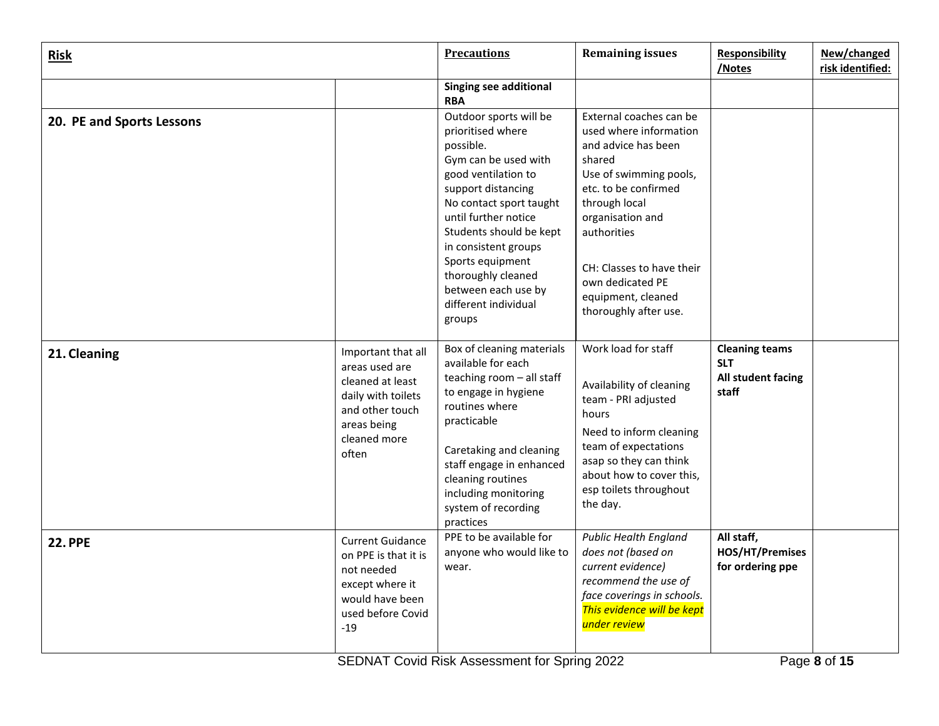| <b>Risk</b>               |                                                                                                                                           | <b>Precautions</b>                                                                                                                                                                                                                                                                                                                     | <b>Remaining issues</b>                                                                                                                                                                                                                                                                  | <b>Responsibility</b><br>/Notes                                    | New/changed<br>risk identified: |
|---------------------------|-------------------------------------------------------------------------------------------------------------------------------------------|----------------------------------------------------------------------------------------------------------------------------------------------------------------------------------------------------------------------------------------------------------------------------------------------------------------------------------------|------------------------------------------------------------------------------------------------------------------------------------------------------------------------------------------------------------------------------------------------------------------------------------------|--------------------------------------------------------------------|---------------------------------|
|                           |                                                                                                                                           | <b>Singing see additional</b><br><b>RBA</b>                                                                                                                                                                                                                                                                                            |                                                                                                                                                                                                                                                                                          |                                                                    |                                 |
| 20. PE and Sports Lessons |                                                                                                                                           | Outdoor sports will be<br>prioritised where<br>possible.<br>Gym can be used with<br>good ventilation to<br>support distancing<br>No contact sport taught<br>until further notice<br>Students should be kept<br>in consistent groups<br>Sports equipment<br>thoroughly cleaned<br>between each use by<br>different individual<br>groups | External coaches can be<br>used where information<br>and advice has been<br>shared<br>Use of swimming pools,<br>etc. to be confirmed<br>through local<br>organisation and<br>authorities<br>CH: Classes to have their<br>own dedicated PE<br>equipment, cleaned<br>thoroughly after use. |                                                                    |                                 |
| 21. Cleaning              | Important that all<br>areas used are<br>cleaned at least<br>daily with toilets<br>and other touch<br>areas being<br>cleaned more<br>often | Box of cleaning materials<br>available for each<br>teaching room - all staff<br>to engage in hygiene<br>routines where<br>practicable<br>Caretaking and cleaning<br>staff engage in enhanced<br>cleaning routines<br>including monitoring<br>system of recording<br>practices                                                          | Work load for staff<br>Availability of cleaning<br>team - PRI adjusted<br>hours<br>Need to inform cleaning<br>team of expectations<br>asap so they can think<br>about how to cover this,<br>esp toilets throughout<br>the day.                                                           | <b>Cleaning teams</b><br><b>SLT</b><br>All student facing<br>staff |                                 |
| <b>22. PPE</b>            | <b>Current Guidance</b><br>on PPE is that it is<br>not needed<br>except where it<br>would have been<br>used before Covid<br>$-19$         | PPE to be available for<br>anyone who would like to<br>wear.                                                                                                                                                                                                                                                                           | <b>Public Health England</b><br>does not (based on<br>current evidence)<br>recommend the use of<br>face coverings in schools.<br>This evidence will be kept<br>under review                                                                                                              | All staff,<br>HOS/HT/Premises<br>for ordering ppe                  |                                 |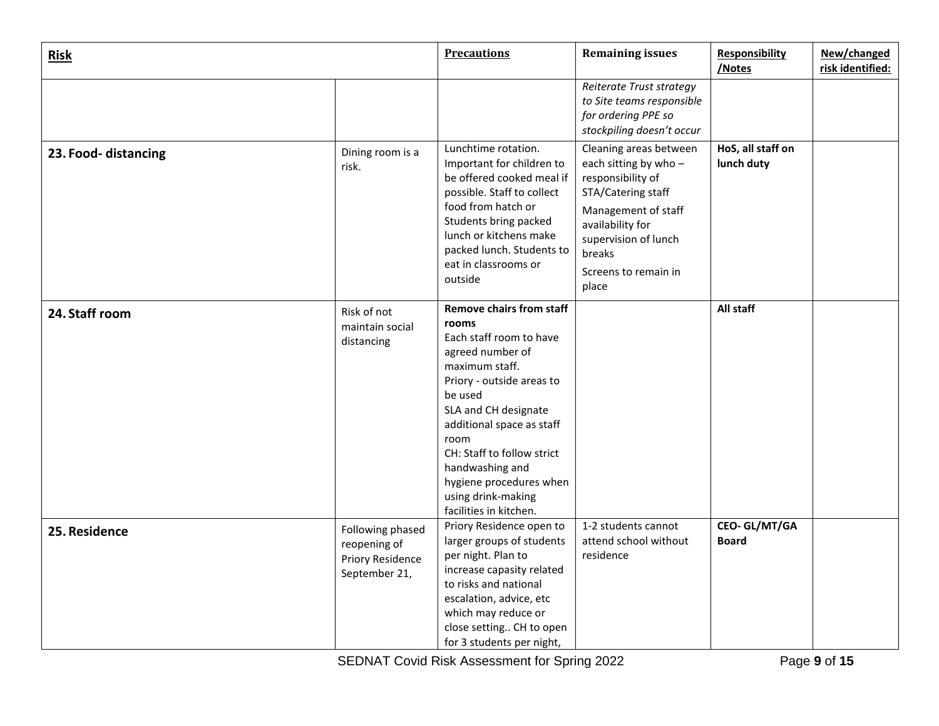| Risk                 |                                                                       | <b>Precautions</b>                                                                                                                                                                                                                                                                                                                         | <b>Remaining issues</b>                                                                                                                                                                                 | <b>Responsibility</b><br>/Notes     | New/changed<br>risk identified: |
|----------------------|-----------------------------------------------------------------------|--------------------------------------------------------------------------------------------------------------------------------------------------------------------------------------------------------------------------------------------------------------------------------------------------------------------------------------------|---------------------------------------------------------------------------------------------------------------------------------------------------------------------------------------------------------|-------------------------------------|---------------------------------|
|                      |                                                                       |                                                                                                                                                                                                                                                                                                                                            | Reiterate Trust strategy<br>to Site teams responsible<br>for ordering PPE so<br>stockpiling doesn't occur                                                                                               |                                     |                                 |
| 23. Food- distancing | Dining room is a<br>risk.                                             | Lunchtime rotation.<br>Important for children to<br>be offered cooked meal if<br>possible. Staff to collect<br>food from hatch or<br>Students bring packed<br>lunch or kitchens make<br>packed lunch. Students to<br>eat in classrooms or<br>outside                                                                                       | Cleaning areas between<br>each sitting by who-<br>responsibility of<br>STA/Catering staff<br>Management of staff<br>availability for<br>supervision of lunch<br>breaks<br>Screens to remain in<br>place | HoS, all staff on<br>lunch duty     |                                 |
| 24. Staff room       | Risk of not<br>maintain social<br>distancing                          | <b>Remove chairs from staff</b><br>rooms<br>Each staff room to have<br>agreed number of<br>maximum staff.<br>Priory - outside areas to<br>be used<br>SLA and CH designate<br>additional space as staff<br>room<br>CH: Staff to follow strict<br>handwashing and<br>hygiene procedures when<br>using drink-making<br>facilities in kitchen. |                                                                                                                                                                                                         | All staff                           |                                 |
| 25. Residence        | Following phased<br>reopening of<br>Priory Residence<br>September 21, | Priory Residence open to<br>larger groups of students<br>per night. Plan to<br>increase capasity related<br>to risks and national<br>escalation, advice, etc<br>which may reduce or<br>close setting CH to open<br>for 3 students per night,                                                                                               | 1-2 students cannot<br>attend school without<br>residence                                                                                                                                               | <b>CEO-GL/MT/GA</b><br><b>Board</b> |                                 |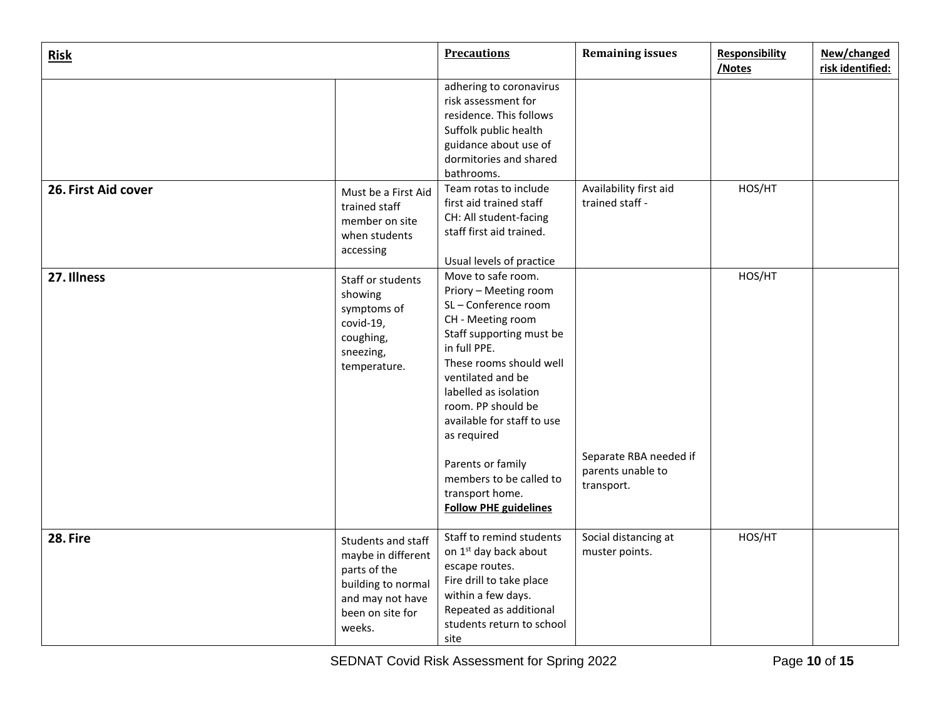| <b>Risk</b>         |                                                                                                                                  | <b>Precautions</b>                                                                                                                                                                                                                                                                                                                                                                | <b>Remaining issues</b>                                   | <b>Responsibility</b><br>/Notes | New/changed<br>risk identified: |
|---------------------|----------------------------------------------------------------------------------------------------------------------------------|-----------------------------------------------------------------------------------------------------------------------------------------------------------------------------------------------------------------------------------------------------------------------------------------------------------------------------------------------------------------------------------|-----------------------------------------------------------|---------------------------------|---------------------------------|
| 26. First Aid cover | Must be a First Aid<br>trained staff                                                                                             | adhering to coronavirus<br>risk assessment for<br>residence. This follows<br>Suffolk public health<br>guidance about use of<br>dormitories and shared<br>bathrooms.<br>Team rotas to include<br>first aid trained staff<br>CH: All student-facing                                                                                                                                 | Availability first aid<br>trained staff -                 | HOS/HT                          |                                 |
|                     | member on site<br>when students<br>accessing                                                                                     | staff first aid trained.<br>Usual levels of practice                                                                                                                                                                                                                                                                                                                              |                                                           |                                 |                                 |
| 27. Illness         | Staff or students<br>showing<br>symptoms of<br>covid-19,<br>coughing,<br>sneezing,<br>temperature.                               | Move to safe room.<br>Priory - Meeting room<br>SL-Conference room<br>CH - Meeting room<br>Staff supporting must be<br>in full PPE.<br>These rooms should well<br>ventilated and be<br>labelled as isolation<br>room. PP should be<br>available for staff to use<br>as required<br>Parents or family<br>members to be called to<br>transport home.<br><b>Follow PHE guidelines</b> | Separate RBA needed if<br>parents unable to<br>transport. | HOS/HT                          |                                 |
| 28. Fire            | Students and staff<br>maybe in different<br>parts of the<br>building to normal<br>and may not have<br>been on site for<br>weeks. | Staff to remind students<br>on 1 <sup>st</sup> day back about<br>escape routes.<br>Fire drill to take place<br>within a few days.<br>Repeated as additional<br>students return to school<br>site                                                                                                                                                                                  | Social distancing at<br>muster points.                    | HOS/HT                          |                                 |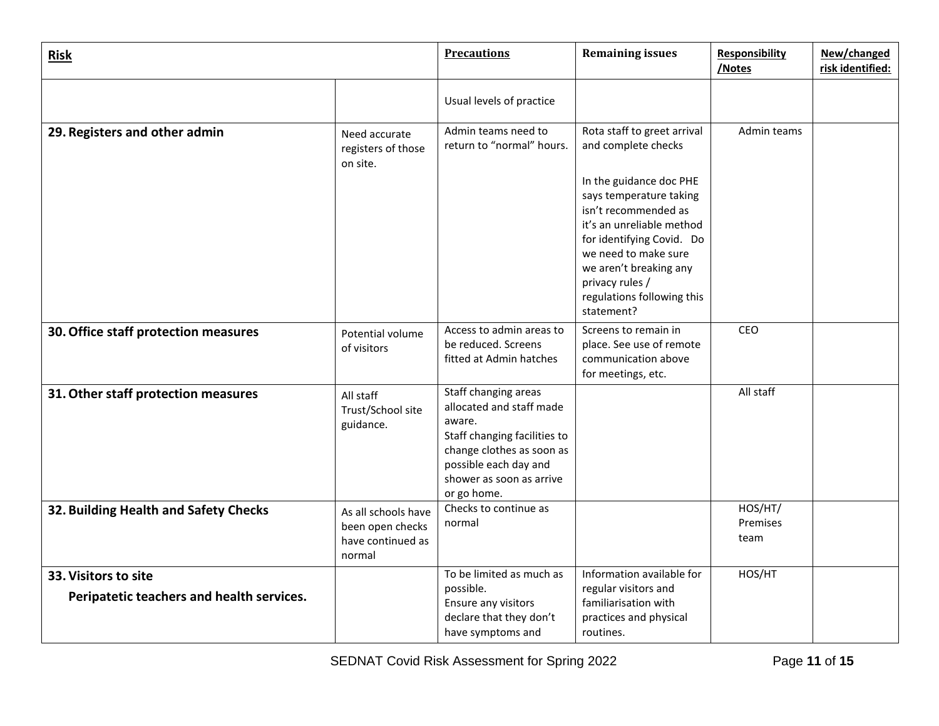| <b>Risk</b>                                                       |                                                                        | <b>Precautions</b>                                                                                                                                                                          | <b>Remaining issues</b>                                                                                                                                                                                                                               | <b>Responsibility</b><br>/Notes | New/changed<br>risk identified: |
|-------------------------------------------------------------------|------------------------------------------------------------------------|---------------------------------------------------------------------------------------------------------------------------------------------------------------------------------------------|-------------------------------------------------------------------------------------------------------------------------------------------------------------------------------------------------------------------------------------------------------|---------------------------------|---------------------------------|
|                                                                   |                                                                        | Usual levels of practice                                                                                                                                                                    |                                                                                                                                                                                                                                                       |                                 |                                 |
| 29. Registers and other admin                                     | Need accurate<br>registers of those<br>on site.                        | Admin teams need to<br>return to "normal" hours.                                                                                                                                            | Rota staff to greet arrival<br>and complete checks                                                                                                                                                                                                    | Admin teams                     |                                 |
|                                                                   |                                                                        |                                                                                                                                                                                             | In the guidance doc PHE<br>says temperature taking<br>isn't recommended as<br>it's an unreliable method<br>for identifying Covid. Do<br>we need to make sure<br>we aren't breaking any<br>privacy rules /<br>regulations following this<br>statement? |                                 |                                 |
| 30. Office staff protection measures                              | Potential volume<br>of visitors                                        | Access to admin areas to<br>be reduced. Screens<br>fitted at Admin hatches                                                                                                                  | Screens to remain in<br>place. See use of remote<br>communication above<br>for meetings, etc.                                                                                                                                                         | CEO                             |                                 |
| 31. Other staff protection measures                               | All staff<br>Trust/School site<br>guidance.                            | Staff changing areas<br>allocated and staff made<br>aware.<br>Staff changing facilities to<br>change clothes as soon as<br>possible each day and<br>shower as soon as arrive<br>or go home. |                                                                                                                                                                                                                                                       | All staff                       |                                 |
| 32. Building Health and Safety Checks                             | As all schools have<br>been open checks<br>have continued as<br>normal | Checks to continue as<br>normal                                                                                                                                                             |                                                                                                                                                                                                                                                       | HOS/HT/<br>Premises<br>team     |                                 |
| 33. Visitors to site<br>Peripatetic teachers and health services. |                                                                        | To be limited as much as<br>possible.<br>Ensure any visitors<br>declare that they don't<br>have symptoms and                                                                                | Information available for<br>regular visitors and<br>familiarisation with<br>practices and physical<br>routines.                                                                                                                                      | HOS/HT                          |                                 |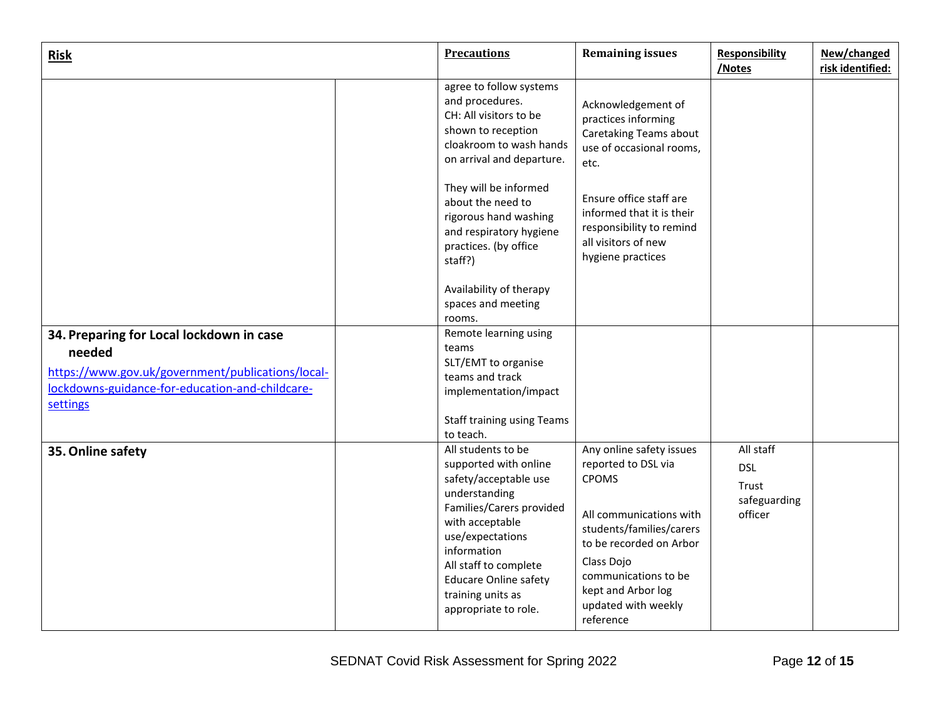| <b>Risk</b>                                                                                                                                                            | <b>Precautions</b>                                                                                                                                                                                                                                                            | <b>Remaining issues</b>                                                                                                                                                                                                                           | <b>Responsibility</b><br>/Notes                             | New/changed<br>risk identified: |
|------------------------------------------------------------------------------------------------------------------------------------------------------------------------|-------------------------------------------------------------------------------------------------------------------------------------------------------------------------------------------------------------------------------------------------------------------------------|---------------------------------------------------------------------------------------------------------------------------------------------------------------------------------------------------------------------------------------------------|-------------------------------------------------------------|---------------------------------|
|                                                                                                                                                                        | agree to follow systems<br>and procedures.<br>CH: All visitors to be<br>shown to reception<br>cloakroom to wash hands<br>on arrival and departure.                                                                                                                            | Acknowledgement of<br>practices informing<br>Caretaking Teams about<br>use of occasional rooms,<br>etc.                                                                                                                                           |                                                             |                                 |
|                                                                                                                                                                        | They will be informed<br>about the need to<br>rigorous hand washing<br>and respiratory hygiene<br>practices. (by office<br>staff?)                                                                                                                                            | Ensure office staff are<br>informed that it is their<br>responsibility to remind<br>all visitors of new<br>hygiene practices                                                                                                                      |                                                             |                                 |
|                                                                                                                                                                        | Availability of therapy<br>spaces and meeting<br>rooms.                                                                                                                                                                                                                       |                                                                                                                                                                                                                                                   |                                                             |                                 |
| 34. Preparing for Local lockdown in case<br>needed<br>https://www.gov.uk/government/publications/local-<br>lockdowns-guidance-for-education-and-childcare-<br>settings | Remote learning using<br>teams<br>SLT/EMT to organise<br>teams and track<br>implementation/impact<br><b>Staff training using Teams</b><br>to teach.                                                                                                                           |                                                                                                                                                                                                                                                   |                                                             |                                 |
| 35. Online safety                                                                                                                                                      | All students to be<br>supported with online<br>safety/acceptable use<br>understanding<br>Families/Carers provided<br>with acceptable<br>use/expectations<br>information<br>All staff to complete<br><b>Educare Online safety</b><br>training units as<br>appropriate to role. | Any online safety issues<br>reported to DSL via<br><b>CPOMS</b><br>All communications with<br>students/families/carers<br>to be recorded on Arbor<br>Class Dojo<br>communications to be<br>kept and Arbor log<br>updated with weekly<br>reference | All staff<br><b>DSL</b><br>Trust<br>safeguarding<br>officer |                                 |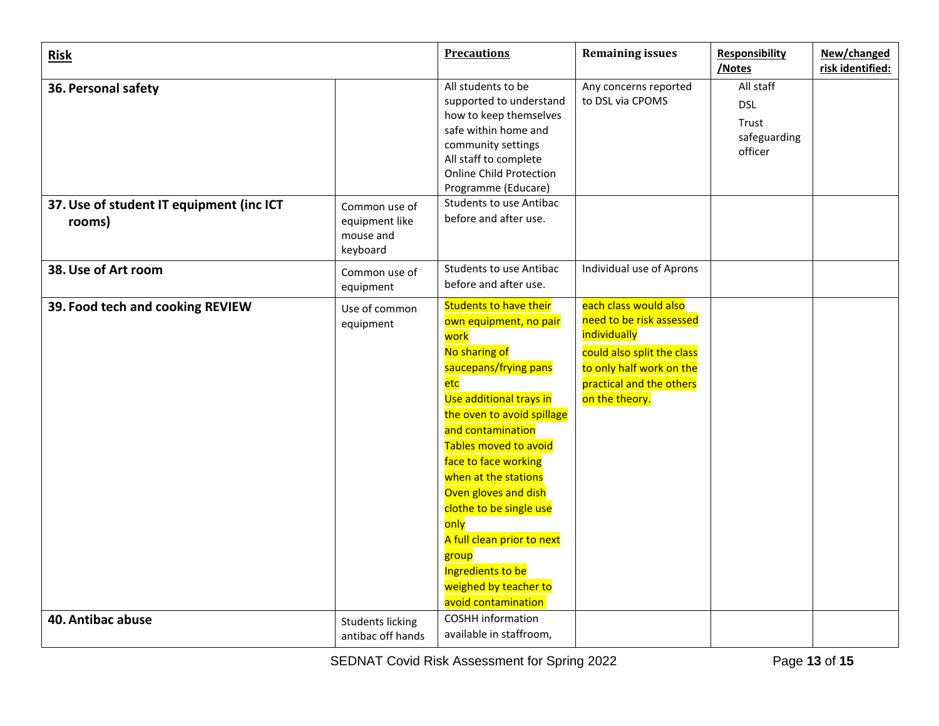| <b>Risk</b>                                        |                                                          | <b>Precautions</b>                                                                                                                                                                                                                                                                                                                                                                                                                             | <b>Remaining issues</b>                                                                                                                                                   | <b>Responsibility</b><br>/Notes                             | New/changed<br>risk identified: |
|----------------------------------------------------|----------------------------------------------------------|------------------------------------------------------------------------------------------------------------------------------------------------------------------------------------------------------------------------------------------------------------------------------------------------------------------------------------------------------------------------------------------------------------------------------------------------|---------------------------------------------------------------------------------------------------------------------------------------------------------------------------|-------------------------------------------------------------|---------------------------------|
| 36. Personal safety                                |                                                          | All students to be<br>supported to understand<br>how to keep themselves<br>safe within home and<br>community settings<br>All staff to complete<br><b>Online Child Protection</b><br>Programme (Educare)                                                                                                                                                                                                                                        | Any concerns reported<br>to DSL via CPOMS                                                                                                                                 | All staff<br><b>DSL</b><br>Trust<br>safeguarding<br>officer |                                 |
| 37. Use of student IT equipment (inc ICT<br>rooms) | Common use of<br>equipment like<br>mouse and<br>keyboard | <b>Students to use Antibac</b><br>before and after use.                                                                                                                                                                                                                                                                                                                                                                                        |                                                                                                                                                                           |                                                             |                                 |
| 38. Use of Art room                                | Common use of<br>equipment                               | <b>Students to use Antibac</b><br>before and after use.                                                                                                                                                                                                                                                                                                                                                                                        | Individual use of Aprons                                                                                                                                                  |                                                             |                                 |
| 39. Food tech and cooking REVIEW                   | Use of common<br>equipment                               | <b>Students to have their</b><br>own equipment, no pair<br>work<br>No sharing of<br>saucepans/frying pans<br>etc<br>Use additional trays in<br>the oven to avoid spillage<br>and contamination<br>Tables moved to avoid<br>face to face working<br>when at the stations<br>Oven gloves and dish<br>clothe to be single use<br>only<br>A full clean prior to next<br>group<br>Ingredients to be<br>weighed by teacher to<br>avoid contamination | each class would also<br>need to be risk assessed<br>individually<br>could also split the class<br>to only half work on the<br>practical and the others<br>on the theory. |                                                             |                                 |
| 40. Antibac abuse                                  | <b>Students licking</b><br>antibac off hands             | COSHH information<br>available in staffroom,                                                                                                                                                                                                                                                                                                                                                                                                   |                                                                                                                                                                           |                                                             |                                 |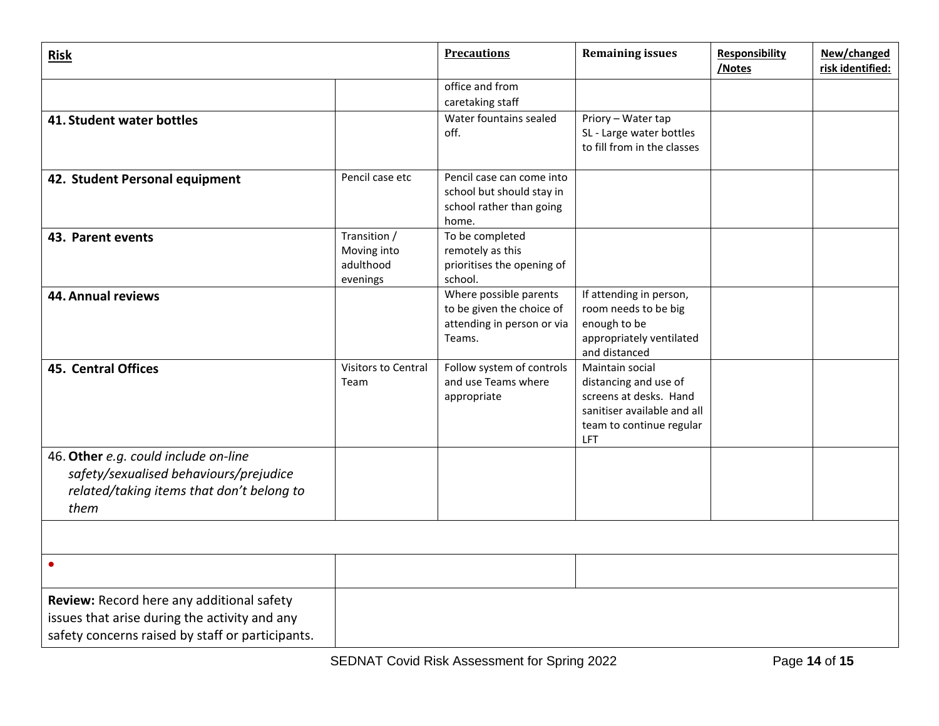| <b>Risk</b>                                                                                                                                    |                                                      | <b>Precautions</b>                                                                          | <b>Remaining issues</b>                                                                                                              | <b>Responsibility</b><br>/Notes | New/changed<br>risk identified: |
|------------------------------------------------------------------------------------------------------------------------------------------------|------------------------------------------------------|---------------------------------------------------------------------------------------------|--------------------------------------------------------------------------------------------------------------------------------------|---------------------------------|---------------------------------|
|                                                                                                                                                |                                                      | office and from<br>caretaking staff                                                         |                                                                                                                                      |                                 |                                 |
| 41. Student water bottles                                                                                                                      |                                                      | Water fountains sealed<br>off.                                                              | Priory - Water tap<br>SL - Large water bottles<br>to fill from in the classes                                                        |                                 |                                 |
| 42. Student Personal equipment                                                                                                                 | Pencil case etc                                      | Pencil case can come into<br>school but should stay in<br>school rather than going<br>home. |                                                                                                                                      |                                 |                                 |
| 43. Parent events                                                                                                                              | Transition /<br>Moving into<br>adulthood<br>evenings | To be completed<br>remotely as this<br>prioritises the opening of<br>school.                |                                                                                                                                      |                                 |                                 |
| <b>44. Annual reviews</b>                                                                                                                      |                                                      | Where possible parents<br>to be given the choice of<br>attending in person or via<br>Teams. | If attending in person,<br>room needs to be big<br>enough to be<br>appropriately ventilated<br>and distanced                         |                                 |                                 |
| <b>45. Central Offices</b>                                                                                                                     | <b>Visitors to Central</b><br>Team                   | Follow system of controls<br>and use Teams where<br>appropriate                             | Maintain social<br>distancing and use of<br>screens at desks. Hand<br>sanitiser available and all<br>team to continue regular<br>LFT |                                 |                                 |
| 46. Other e.g. could include on-line<br>safety/sexualised behaviours/prejudice<br>related/taking items that don't belong to<br>them            |                                                      |                                                                                             |                                                                                                                                      |                                 |                                 |
|                                                                                                                                                |                                                      |                                                                                             |                                                                                                                                      |                                 |                                 |
| $\bullet$                                                                                                                                      |                                                      |                                                                                             |                                                                                                                                      |                                 |                                 |
| Review: Record here any additional safety<br>issues that arise during the activity and any<br>safety concerns raised by staff or participants. |                                                      |                                                                                             |                                                                                                                                      |                                 |                                 |